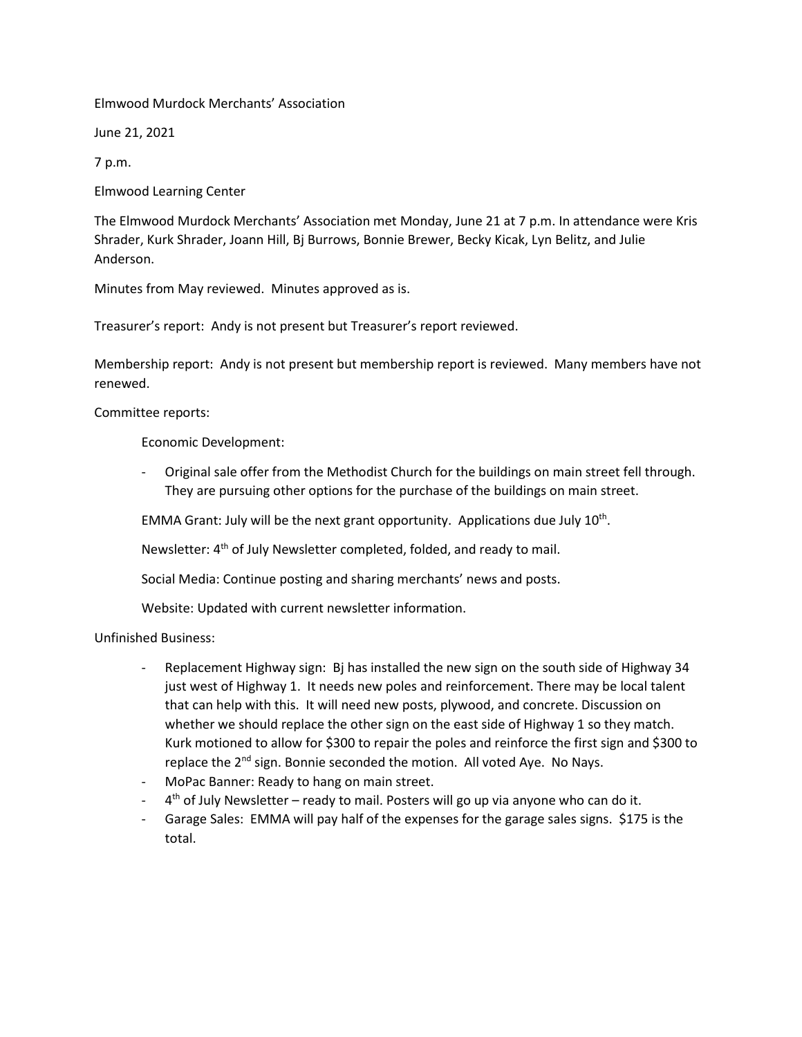Elmwood Murdock Merchants' Association

June 21, 2021

7 p.m.

Elmwood Learning Center

The Elmwood Murdock Merchants' Association met Monday, June 21 at 7 p.m. In attendance were Kris Shrader, Kurk Shrader, Joann Hill, Bj Burrows, Bonnie Brewer, Becky Kicak, Lyn Belitz, and Julie Anderson.

Minutes from May reviewed. Minutes approved as is.

Treasurer's report: Andy is not present but Treasurer's report reviewed.

Membership report: Andy is not present but membership report is reviewed. Many members have not renewed.

Committee reports:

Economic Development:

- Original sale offer from the Methodist Church for the buildings on main street fell through. They are pursuing other options for the purchase of the buildings on main street.

EMMA Grant: July will be the next grant opportunity. Applications due July  $10^{th}$ .

Newsletter: 4<sup>th</sup> of July Newsletter completed, folded, and ready to mail.

Social Media: Continue posting and sharing merchants' news and posts.

Website: Updated with current newsletter information.

Unfinished Business:

- Replacement Highway sign: Bj has installed the new sign on the south side of Highway 34 just west of Highway 1. It needs new poles and reinforcement. There may be local talent that can help with this. It will need new posts, plywood, and concrete. Discussion on whether we should replace the other sign on the east side of Highway 1 so they match. Kurk motioned to allow for \$300 to repair the poles and reinforce the first sign and \$300 to replace the 2<sup>nd</sup> sign. Bonnie seconded the motion. All voted Aye. No Nays.
- MoPac Banner: Ready to hang on main street.
- 4<sup>th</sup> of July Newsletter ready to mail. Posters will go up via anyone who can do it.
- Garage Sales: EMMA will pay half of the expenses for the garage sales signs. \$175 is the total.